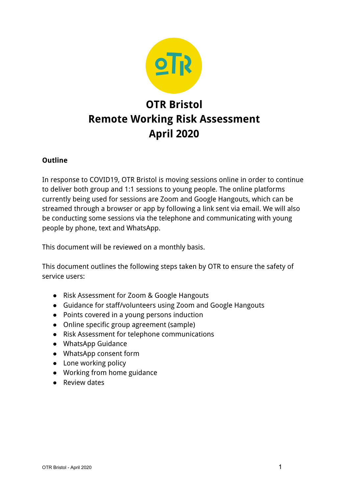

# **OTR Bristol Remote Working Risk Assessment April 2020**

#### **Outline**

In response to COVID19, OTR Bristol is moving sessions online in order to continue to deliver both group and 1:1 sessions to young people. The online platforms currently being used for sessions are Zoom and Google Hangouts, which can be streamed through a browser or app by following a link sent via email. We will also be conducting some sessions via the telephone and communicating with young people by phone, text and WhatsApp.

This document will be reviewed on a monthly basis.

This document outlines the following steps taken by OTR to ensure the safety of service users:

- Risk Assessment for Zoom & Google Hangouts
- Guidance for staff/volunteers using Zoom and Google Hangouts
- Points covered in a young persons induction
- Online specific group agreement (sample)
- Risk Assessment for telephone communications
- WhatsApp Guidance
- WhatsApp consent form
- Lone working policy
- Working from home guidance
- Review dates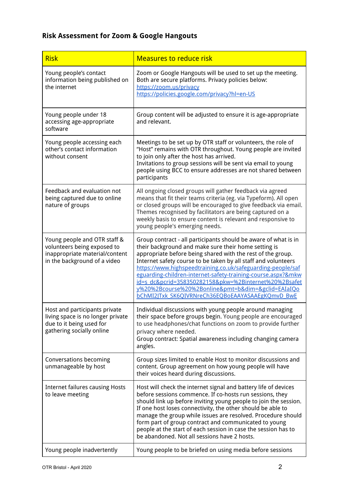# **Risk Assessment for Zoom & Google Hangouts**

| <b>Risk</b>                                                                                                                   | <b>Measures to reduce risk</b>                                                                                                                                                                                                                                                                                                                                                                                                                                                                                                                             |
|-------------------------------------------------------------------------------------------------------------------------------|------------------------------------------------------------------------------------------------------------------------------------------------------------------------------------------------------------------------------------------------------------------------------------------------------------------------------------------------------------------------------------------------------------------------------------------------------------------------------------------------------------------------------------------------------------|
| Young people's contact<br>information being published on<br>the internet                                                      | Zoom or Google Hangouts will be used to set up the meeting.<br>Both are secure platforms. Privacy policies below:<br>https://zoom.us/privacy<br>https://policies.google.com/privacy?hl=en-US                                                                                                                                                                                                                                                                                                                                                               |
| Young people under 18<br>accessing age-appropriate<br>software                                                                | Group content will be adjusted to ensure it is age-appropriate<br>and relevant.                                                                                                                                                                                                                                                                                                                                                                                                                                                                            |
| Young people accessing each<br>other's contact information<br>without consent                                                 | Meetings to be set up by OTR staff or volunteers, the role of<br>"Host" remains with OTR throughout. Young people are invited<br>to join only after the host has arrived.<br>Invitations to group sessions will be sent via email to young<br>people using BCC to ensure addresses are not shared between<br>participants                                                                                                                                                                                                                                  |
| Feedback and evaluation not<br>being captured due to online<br>nature of groups                                               | All ongoing closed groups will gather feedback via agreed<br>means that fit their teams criteria (eg. via Typeform). All open<br>or closed groups will be encouraged to give feedback via email.<br>Themes recognised by facilitators are being captured on a<br>weekly basis to ensure content is relevant and responsive to<br>young people's emerging needs.                                                                                                                                                                                            |
| Young people and OTR staff &<br>volunteers being exposed to<br>inappropriate material/content<br>in the background of a video | Group contract - all participants should be aware of what is in<br>their background and make sure their home setting is<br>appropriate before being shared with the rest of the group.<br>Internet safety course to be taken by all staff and volunteers<br>https://www.highspeedtraining.co.uk/safeguarding-people/saf<br>eguarding-children-internet-safety-training-course.aspx?&mkw<br>id=s_dc&pcrid=358350282158&pkw=%2Binternet%20%2Bsafet<br>y%20%2Bcourse%20%2Bonline&pmt=b&dim=&gclid=EAIaIQo<br>bChMI2JTxk SK6QIVRNreCh36EQBoEAAYASAAEgKQmvD BwE |
| Host and participants private<br>living space is no longer private<br>due to it being used for<br>gathering socially online   | Individual discussions with young people around managing<br>their space before groups begin. Young people are encouraged<br>to use headphones/chat functions on zoom to provide further<br>privacy where needed.<br>Group contract: Spatial awareness including changing camera<br>angles.                                                                                                                                                                                                                                                                 |
| Conversations becoming<br>unmanageable by host                                                                                | Group sizes limited to enable Host to monitor discussions and<br>content. Group agreement on how young people will have<br>their voices heard during discussions.                                                                                                                                                                                                                                                                                                                                                                                          |
| <b>Internet failures causing Hosts</b><br>to leave meeting                                                                    | Host will check the internet signal and battery life of devices<br>before sessions commence. If co-hosts run sessions, they<br>should link up before inviting young people to join the session.<br>If one host loses connectivity, the other should be able to<br>manage the group while issues are resolved. Procedure should<br>form part of group contract and communicated to young<br>people at the start of each session in case the session has to<br>be abandoned. Not all sessions have 2 hosts.                                                  |
| Young people inadvertently                                                                                                    | Young people to be briefed on using media before sessions                                                                                                                                                                                                                                                                                                                                                                                                                                                                                                  |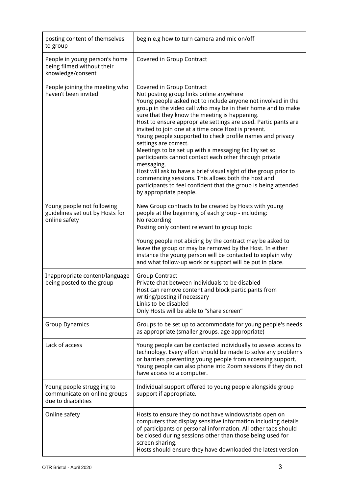| posting content of themselves<br>to group                                         | begin e.g how to turn camera and mic on/off                                                                                                                                                                                                                                                                                                                                                                                                                                                                                                                                                                                                                                                                                                                                                                                   |
|-----------------------------------------------------------------------------------|-------------------------------------------------------------------------------------------------------------------------------------------------------------------------------------------------------------------------------------------------------------------------------------------------------------------------------------------------------------------------------------------------------------------------------------------------------------------------------------------------------------------------------------------------------------------------------------------------------------------------------------------------------------------------------------------------------------------------------------------------------------------------------------------------------------------------------|
| People in young person's home<br>being filmed without their<br>knowledge/consent  | Covered in Group Contract                                                                                                                                                                                                                                                                                                                                                                                                                                                                                                                                                                                                                                                                                                                                                                                                     |
| People joining the meeting who<br>haven't been invited                            | Covered in Group Contract<br>Not posting group links online anywhere<br>Young people asked not to include anyone not involved in the<br>group in the video call who may be in their home and to make<br>sure that they know the meeting is happening.<br>Host to ensure appropriate settings are used. Participants are<br>invited to join one at a time once Host is present.<br>Young people supported to check profile names and privacy<br>settings are correct.<br>Meetings to be set up with a messaging facility set so<br>participants cannot contact each other through private<br>messaging.<br>Host will ask to have a brief visual sight of the group prior to<br>commencing sessions. This allows both the host and<br>participants to feel confident that the group is being attended<br>by appropriate people. |
| Young people not following<br>guidelines set out by Hosts for<br>online safety    | New Group contracts to be created by Hosts with young<br>people at the beginning of each group - including:<br>No recording<br>Posting only content relevant to group topic<br>Young people not abiding by the contract may be asked to<br>leave the group or may be removed by the Host. In either<br>instance the young person will be contacted to explain why<br>and what follow-up work or support will be put in place.                                                                                                                                                                                                                                                                                                                                                                                                 |
| Inappropriate content/language<br>being posted to the group                       | <b>Group Contract</b><br>Private chat between individuals to be disabled<br>Host can remove content and block participants from<br>writing/posting if necessary<br>Links to be disabled<br>Only Hosts will be able to "share screen"                                                                                                                                                                                                                                                                                                                                                                                                                                                                                                                                                                                          |
| <b>Group Dynamics</b>                                                             | Groups to be set up to accommodate for young people's needs<br>as appropriate (smaller groups, age appropriate)                                                                                                                                                                                                                                                                                                                                                                                                                                                                                                                                                                                                                                                                                                               |
| Lack of access                                                                    | Young people can be contacted individually to assess access to<br>technology. Every effort should be made to solve any problems<br>or barriers preventing young people from accessing support.<br>Young people can also phone into Zoom sessions if they do not<br>have access to a computer.                                                                                                                                                                                                                                                                                                                                                                                                                                                                                                                                 |
| Young people struggling to<br>communicate on online groups<br>due to disabilities | Individual support offered to young people alongside group<br>support if appropriate.                                                                                                                                                                                                                                                                                                                                                                                                                                                                                                                                                                                                                                                                                                                                         |
| Online safety                                                                     | Hosts to ensure they do not have windows/tabs open on<br>computers that display sensitive information including details<br>of participants or personal information. All other tabs should<br>be closed during sessions other than those being used for<br>screen sharing.<br>Hosts should ensure they have downloaded the latest version                                                                                                                                                                                                                                                                                                                                                                                                                                                                                      |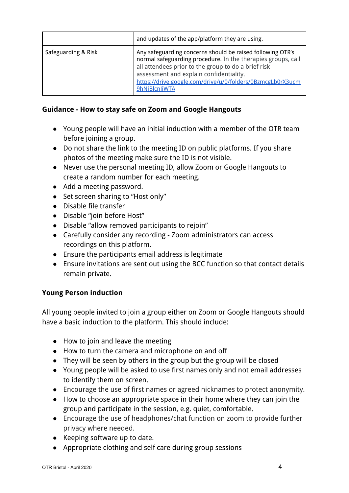|                     | and updates of the app/platform they are using.                                                                                                                                                                                                                                                             |
|---------------------|-------------------------------------------------------------------------------------------------------------------------------------------------------------------------------------------------------------------------------------------------------------------------------------------------------------|
| Safeguarding & Risk | Any safeguarding concerns should be raised following OTR's<br>normal safeguarding procedure. In the therapies groups, call<br>all attendees prior to the group to do a brief risk<br>assessment and explain confidentiality.<br>https://drive.google.com/drive/u/0/folders/0BzmcgLb0rX3ucm<br>9hNjBlcnJjWTA |

#### **Guidance - How to stay safe on Zoom and Google Hangouts**

- Young people will have an initial induction with a member of the OTR team before joining a group.
- Do not share the link to the meeting ID on public platforms. If you share photos of the meeting make sure the ID is not visible.
- Never use the personal meeting ID, allow Zoom or Google Hangouts to create a random number for each meeting.
- Add a meeting password.
- Set screen sharing to "Host only"
- Disable file transfer
- Disable "join before Host"
- Disable "allow removed participants to rejoin"
- Carefully consider any recording Zoom administrators can access recordings on this platform.
- Ensure the participants email address is legitimate
- Ensure invitations are sent out using the BCC function so that contact details remain private.

#### **Young Person induction**

All young people invited to join a group either on Zoom or Google Hangouts should have a basic induction to the platform. This should include:

- How to join and leave the meeting
- How to turn the camera and microphone on and off
- They will be seen by others in the group but the group will be closed
- Young people will be asked to use first names only and not email addresses to identify them on screen.
- Encourage the use of first names or agreed nicknames to protect anonymity.
- How to choose an appropriate space in their home where they can join the group and participate in the session, e.g. quiet, comfortable.
- Encourage the use of headphones/chat function on zoom to provide further privacy where needed.
- Keeping software up to date.
- Appropriate clothing and self care during group sessions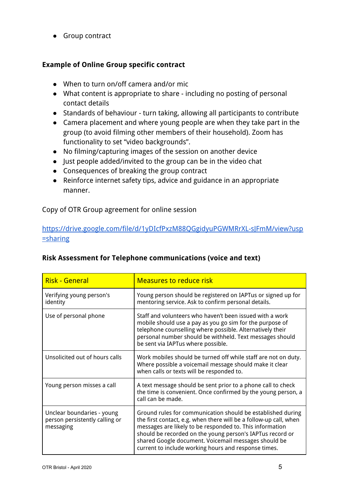● Group contract

#### **Example of Online Group specific contract**

- When to turn on/off camera and/or mic
- What content is appropriate to share including no posting of personal contact details
- Standards of behaviour turn taking, allowing all participants to contribute
- Camera placement and where young people are when they take part in the group (to avoid filming other members of their household). Zoom has functionality to set "video backgrounds".
- No filming/capturing images of the session on another device
- Just people added/invited to the group can be in the video chat
- Consequences of breaking the group contract
- Reinforce internet safety tips, advice and guidance in an appropriate manner.

Copy of OTR Group agreement for online session

#### [https://drive.google.com/file/d/1yDIcfPxzM88QGgidyuPGWMRrXL-sJFmM/view?usp](https://drive.google.com/file/d/1yDIcfPxzM88QGgidyuPGWMRrXL-sJFmM/view?usp=sharing) [=sharing](https://drive.google.com/file/d/1yDIcfPxzM88QGgidyuPGWMRrXL-sJFmM/view?usp=sharing)

|  | <b>Risk Assessment for Telephone communications (voice and text)</b> |
|--|----------------------------------------------------------------------|
|--|----------------------------------------------------------------------|

| <b>Risk - General</b>                                                     | <b>Measures to reduce risk</b>                                                                                                                                                                                                                                                                                                                                            |
|---------------------------------------------------------------------------|---------------------------------------------------------------------------------------------------------------------------------------------------------------------------------------------------------------------------------------------------------------------------------------------------------------------------------------------------------------------------|
| Verifying young person's<br>identity                                      | Young person should be registered on IAPTus or signed up for<br>mentoring service. Ask to confirm personal details.                                                                                                                                                                                                                                                       |
| Use of personal phone                                                     | Staff and volunteers who haven't been issued with a work<br>mobile should use a pay as you go sim for the purpose of<br>telephone counselling where possible. Alternatively their<br>personal number should be withheld. Text messages should<br>be sent via IAPTus where possible.                                                                                       |
| Unsolicited out of hours calls                                            | Work mobiles should be turned off while staff are not on duty.<br>Where possible a voicemail message should make it clear<br>when calls or texts will be responded to.                                                                                                                                                                                                    |
| Young person misses a call                                                | A text message should be sent prior to a phone call to check<br>the time is convenient. Once confirmed by the young person, a<br>call can be made.                                                                                                                                                                                                                        |
| Unclear boundaries - young<br>person persistently calling or<br>messaging | Ground rules for communication should be established during<br>the first contact, e.g. when there will be a follow-up call, when<br>messages are likely to be responded to. This information<br>should be recorded on the young person's IAPTus record or<br>shared Google document. Voicemail messages should be<br>current to include working hours and response times. |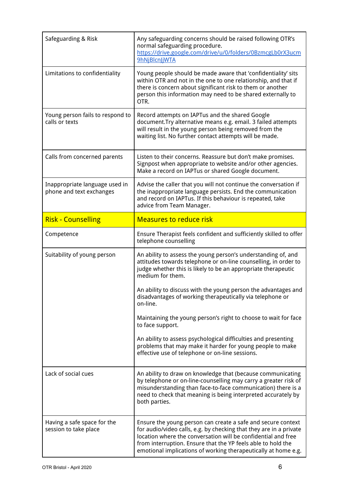| Safeguarding & Risk                                        | Any safeguarding concerns should be raised following OTR's<br>normal safeguarding procedure.<br>https://drive.google.com/drive/u/0/folders/0BzmcgLb0rX3ucm<br>9hNjBlcnJjWTA                                                                                                                                                           |
|------------------------------------------------------------|---------------------------------------------------------------------------------------------------------------------------------------------------------------------------------------------------------------------------------------------------------------------------------------------------------------------------------------|
| Limitations to confidentiality                             | Young people should be made aware that 'confidentiality' sits<br>within OTR and not in the one to one relationship, and that if<br>there is concern about significant risk to them or another<br>person this information may need to be shared externally to<br>OTR.                                                                  |
| Young person fails to respond to<br>calls or texts         | Record attempts on IAPTus and the shared Google<br>document. Try alternative means e.g. email. 3 failed attempts<br>will result in the young person being removed from the<br>waiting list. No further contact attempts will be made.                                                                                                 |
| Calls from concerned parents                               | Listen to their concerns. Reassure but don't make promises.<br>Signpost when appropriate to website and/or other agencies.<br>Make a record on IAPTus or shared Google document.                                                                                                                                                      |
| Inappropriate language used in<br>phone and text exchanges | Advise the caller that you will not continue the conversation if<br>the inappropriate language persists. End the communication<br>and record on IAPTus. If this behaviour is repeated, take<br>advice from Team Manager.                                                                                                              |
| <b>Risk - Counselling</b>                                  | <b>Measures to reduce risk</b>                                                                                                                                                                                                                                                                                                        |
| Competence                                                 | Ensure Therapist feels confident and sufficiently skilled to offer<br>telephone counselling                                                                                                                                                                                                                                           |
| Suitability of young person                                | An ability to assess the young person's understanding of, and<br>attitudes towards telephone or on-line counselling, in order to<br>judge whether this is likely to be an appropriate therapeutic<br>medium for them.                                                                                                                 |
|                                                            | An ability to discuss with the young person the advantages and<br>disadvantages of working therapeutically via telephone or<br>on-line.                                                                                                                                                                                               |
|                                                            | Maintaining the young person's right to choose to wait for face<br>to face support.                                                                                                                                                                                                                                                   |
|                                                            | An ability to assess psychological difficulties and presenting<br>problems that may make it harder for young people to make<br>effective use of telephone or on-line sessions.                                                                                                                                                        |
| Lack of social cues                                        | An ability to draw on knowledge that (because communicating<br>by telephone or on-line-counselling may carry a greater risk of<br>misunderstanding than face-to-face communication) there is a<br>need to check that meaning is being interpreted accurately by<br>both parties.                                                      |
| Having a safe space for the<br>session to take place       | Ensure the young person can create a safe and secure context<br>for audio/video calls, e.g. by checking that they are in a private<br>location where the conversation will be confidential and free<br>from interruption. Ensure that the YP feels able to hold the<br>emotional implications of working therapeutically at home e.g. |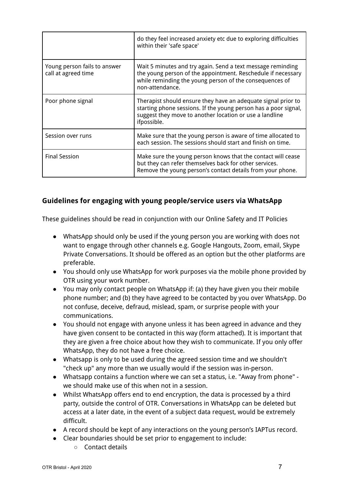|                                                     | do they feel increased anxiety etc due to exploring difficulties<br>within their 'safe space'                                                                                                              |
|-----------------------------------------------------|------------------------------------------------------------------------------------------------------------------------------------------------------------------------------------------------------------|
| Young person fails to answer<br>call at agreed time | Wait 5 minutes and try again. Send a text message reminding<br>the young person of the appointment. Reschedule if necessary<br>while reminding the young person of the consequences of<br>non-attendance.  |
| Poor phone signal                                   | Therapist should ensure they have an adequate signal prior to<br>starting phone sessions. If the young person has a poor signal,<br>suggest they move to another location or use a landline<br>ifpossible. |
| Session over runs                                   | Make sure that the young person is aware of time allocated to<br>each session. The sessions should start and finish on time.                                                                               |
| <b>Final Session</b>                                | Make sure the young person knows that the contact will cease<br>but they can refer themselves back for other services.<br>Remove the young person's contact details from your phone.                       |

#### **Guidelines for engaging with young people/service users via WhatsApp**

These guidelines should be read in conjunction with our Online Safety and IT Policies

- WhatsApp should only be used if the young person you are working with does not want to engage through other channels e.g. Google Hangouts, Zoom, email, Skype Private Conversations. It should be offered as an option but the other platforms are preferable.
- You should only use WhatsApp for work purposes via the mobile phone provided by OTR using your work number.
- You may only contact people on WhatsApp if: (a) they have given you their mobile phone number; and (b) they have agreed to be contacted by you over WhatsApp. Do not confuse, deceive, defraud, mislead, spam, or surprise people with your communications.
- You should not engage with anyone unless it has been agreed in advance and they have given consent to be contacted in this way (form attached). It is important that they are given a free choice about how they wish to communicate. If you only offer WhatsApp, they do not have a free choice.
- Whatsapp is only to be used during the agreed session time and we shouldn't "check up" any more than we usually would if the session was in-person.
- Whatsapp contains a function where we can set a status, i.e. "Away from phone" we should make use of this when not in a session.
- Whilst WhatsApp offers end to end encryption, the data is processed by a third party, outside the control of OTR. Conversations in WhatsApp can be deleted but access at a later date, in the event of a subject data request, would be extremely difficult.
- A record should be kept of any interactions on the young person's IAPTus record.
- Clear boundaries should be set prior to engagement to include:
	- Contact details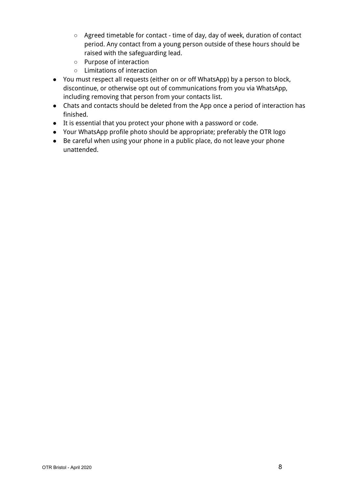- Agreed timetable for contact time of day, day of week, duration of contact period. Any contact from a young person outside of these hours should be raised with the safeguarding lead.
- Purpose of interaction
- Limitations of interaction
- You must respect all requests (either on or off WhatsApp) by a person to block, discontinue, or otherwise opt out of communications from you via WhatsApp, including removing that person from your contacts list.
- Chats and contacts should be deleted from the App once a period of interaction has finished.
- It is essential that you protect your phone with a password or code.
- Your WhatsApp profile photo should be appropriate; preferably the OTR logo
- Be careful when using your phone in a public place, do not leave your phone unattended.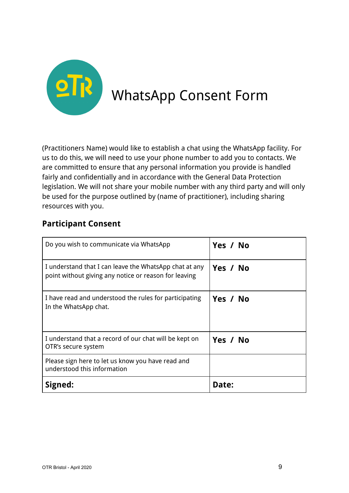

(Practitioners Name) would like to establish a chat using the WhatsApp facility. For us to do this, we will need to use your phone number to add you to contacts. We are committed to ensure that any personal information you provide is handled fairly and confidentially and in accordance with the General Data Protection legislation. We will not share your mobile number with any third party and will only be used for the purpose outlined by (name of practitioner), including sharing resources with you.

## **Participant Consent**

| Do you wish to communicate via WhatsApp                                                                         | Yes / No |
|-----------------------------------------------------------------------------------------------------------------|----------|
| I understand that I can leave the WhatsApp chat at any<br>point without giving any notice or reason for leaving | Yes / No |
| I have read and understood the rules for participating<br>In the WhatsApp chat.                                 | Yes / No |
| I understand that a record of our chat will be kept on<br>OTR's secure system                                   | Yes / No |
| Please sign here to let us know you have read and<br>understood this information                                |          |
| Signed:                                                                                                         | Date:    |